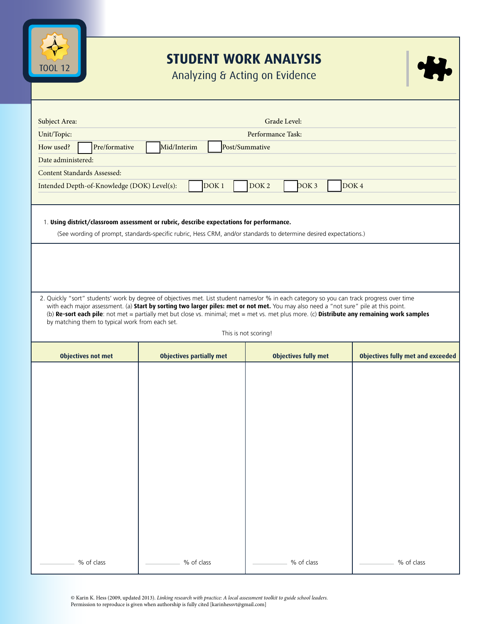

## **STUDENT WORK ANALYSIS**

Analyzing & Acting on Evidence

| Subject Area:                                                                                                                                                                                                                                                                                                                                                                                                                                                                                                  |                                 |                  | Grade Level:                |                                          |  |  |  |
|----------------------------------------------------------------------------------------------------------------------------------------------------------------------------------------------------------------------------------------------------------------------------------------------------------------------------------------------------------------------------------------------------------------------------------------------------------------------------------------------------------------|---------------------------------|------------------|-----------------------------|------------------------------------------|--|--|--|
| Unit/Topic:                                                                                                                                                                                                                                                                                                                                                                                                                                                                                                    | Performance Task:               |                  |                             |                                          |  |  |  |
| Pre/formative<br>How used?                                                                                                                                                                                                                                                                                                                                                                                                                                                                                     | Mid/Interim<br>Post/Summative   |                  |                             |                                          |  |  |  |
| Date administered:                                                                                                                                                                                                                                                                                                                                                                                                                                                                                             |                                 |                  |                             |                                          |  |  |  |
| Content Standards Assessed:                                                                                                                                                                                                                                                                                                                                                                                                                                                                                    |                                 |                  |                             |                                          |  |  |  |
| Intended Depth-of-Knowledge (DOK) Level(s):                                                                                                                                                                                                                                                                                                                                                                                                                                                                    | DOK <sub>1</sub>                | DOK <sub>2</sub> | DOK3                        | DOK <sub>4</sub>                         |  |  |  |
|                                                                                                                                                                                                                                                                                                                                                                                                                                                                                                                |                                 |                  |                             |                                          |  |  |  |
| 1. Using district/classroom assessment or rubric, describe expectations for performance.<br>(See wording of prompt, standards-specific rubric, Hess CRM, and/or standards to determine desired expectations.)                                                                                                                                                                                                                                                                                                  |                                 |                  |                             |                                          |  |  |  |
|                                                                                                                                                                                                                                                                                                                                                                                                                                                                                                                |                                 |                  |                             |                                          |  |  |  |
| 2. Quickly "sort" students' work by degree of objectives met. List student names/or % in each category so you can track progress over time<br>with each major assessment. (a) Start by sorting two larger piles: met or not met. You may also need a "not sure" pile at this point.<br>(b) Re-sort each pile: not met = partially met but close vs. minimal; met = met vs. met plus more. (c) Distribute any remaining work samples<br>by matching them to typical work from each set.<br>This is not scoring! |                                 |                  |                             |                                          |  |  |  |
|                                                                                                                                                                                                                                                                                                                                                                                                                                                                                                                |                                 |                  |                             |                                          |  |  |  |
| <b>Objectives not met</b>                                                                                                                                                                                                                                                                                                                                                                                                                                                                                      | <b>Objectives partially met</b> |                  | <b>Objectives fully met</b> | <b>Objectives fully met and exceeded</b> |  |  |  |
|                                                                                                                                                                                                                                                                                                                                                                                                                                                                                                                |                                 |                  |                             |                                          |  |  |  |
|                                                                                                                                                                                                                                                                                                                                                                                                                                                                                                                |                                 |                  |                             |                                          |  |  |  |
|                                                                                                                                                                                                                                                                                                                                                                                                                                                                                                                |                                 |                  |                             |                                          |  |  |  |
|                                                                                                                                                                                                                                                                                                                                                                                                                                                                                                                |                                 |                  |                             |                                          |  |  |  |
|                                                                                                                                                                                                                                                                                                                                                                                                                                                                                                                |                                 |                  |                             |                                          |  |  |  |
|                                                                                                                                                                                                                                                                                                                                                                                                                                                                                                                |                                 |                  |                             |                                          |  |  |  |
|                                                                                                                                                                                                                                                                                                                                                                                                                                                                                                                |                                 |                  |                             |                                          |  |  |  |
|                                                                                                                                                                                                                                                                                                                                                                                                                                                                                                                |                                 |                  |                             |                                          |  |  |  |
|                                                                                                                                                                                                                                                                                                                                                                                                                                                                                                                |                                 |                  |                             |                                          |  |  |  |
|                                                                                                                                                                                                                                                                                                                                                                                                                                                                                                                |                                 |                  |                             |                                          |  |  |  |
|                                                                                                                                                                                                                                                                                                                                                                                                                                                                                                                |                                 |                  |                             |                                          |  |  |  |
|                                                                                                                                                                                                                                                                                                                                                                                                                                                                                                                |                                 |                  |                             |                                          |  |  |  |
|                                                                                                                                                                                                                                                                                                                                                                                                                                                                                                                |                                 |                  |                             |                                          |  |  |  |